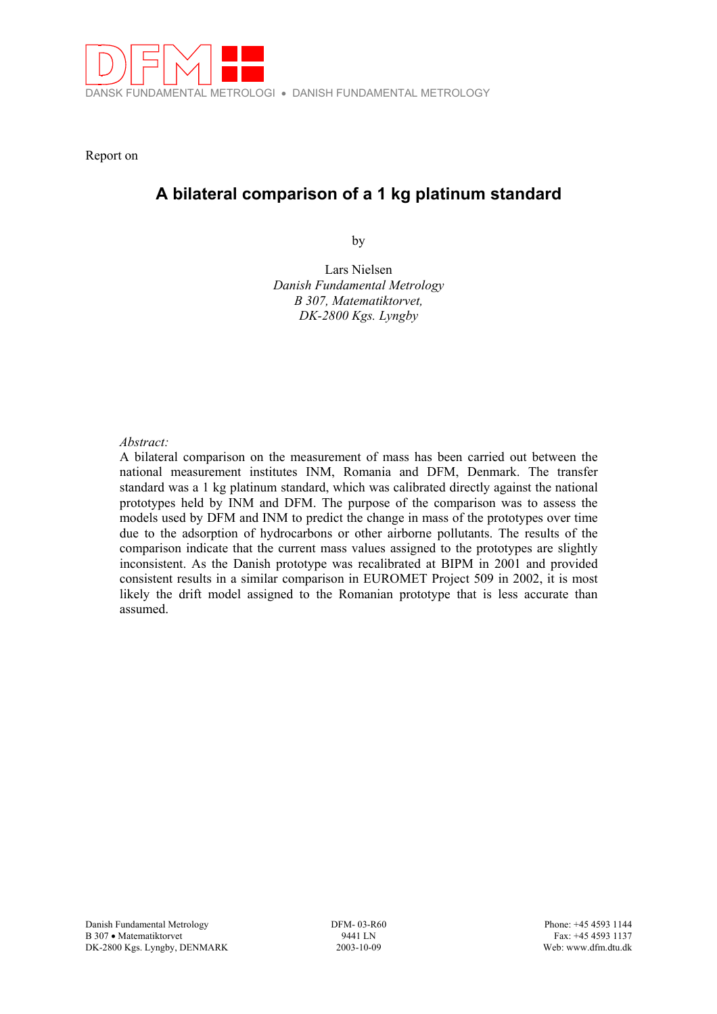

Report on

# **A bilateral comparison of a 1 kg platinum standard**

by

Lars Nielsen *Danish Fundamental Metrology B 307, Matematiktorvet, DK-2800 Kgs. Lyngby* 

## *Abstract:*

A bilateral comparison on the measurement of mass has been carried out between the national measurement institutes INM, Romania and DFM, Denmark. The transfer standard was a 1 kg platinum standard, which was calibrated directly against the national prototypes held by INM and DFM. The purpose of the comparison was to assess the models used by DFM and INM to predict the change in mass of the prototypes over time due to the adsorption of hydrocarbons or other airborne pollutants. The results of the comparison indicate that the current mass values assigned to the prototypes are slightly inconsistent. As the Danish prototype was recalibrated at BIPM in 2001 and provided consistent results in a similar comparison in EUROMET Project 509 in 2002, it is most likely the drift model assigned to the Romanian prototype that is less accurate than assumed.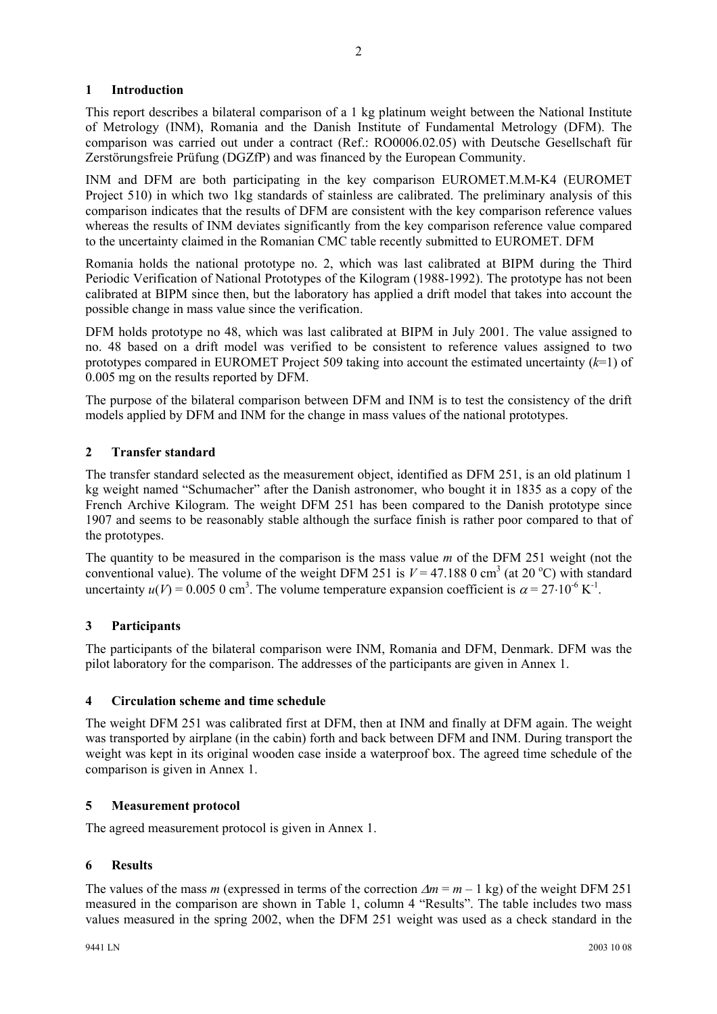# **1 Introduction**

This report describes a bilateral comparison of a 1 kg platinum weight between the National Institute of Metrology (INM), Romania and the Danish Institute of Fundamental Metrology (DFM). The comparison was carried out under a contract (Ref.: RO0006.02.05) with Deutsche Gesellschaft für Zerstörungsfreie Prüfung (DGZfP) and was financed by the European Community.

INM and DFM are both participating in the key comparison EUROMET.M.M-K4 (EUROMET Project 510) in which two 1kg standards of stainless are calibrated. The preliminary analysis of this comparison indicates that the results of DFM are consistent with the key comparison reference values whereas the results of INM deviates significantly from the key comparison reference value compared to the uncertainty claimed in the Romanian CMC table recently submitted to EUROMET. DFM

Romania holds the national prototype no. 2, which was last calibrated at BIPM during the Third Periodic Verification of National Prototypes of the Kilogram (1988-1992). The prototype has not been calibrated at BIPM since then, but the laboratory has applied a drift model that takes into account the possible change in mass value since the verification.

DFM holds prototype no 48, which was last calibrated at BIPM in July 2001. The value assigned to no. 48 based on a drift model was verified to be consistent to reference values assigned to two prototypes compared in EUROMET Project 509 taking into account the estimated uncertainty (*k*=1) of 0.005 mg on the results reported by DFM.

The purpose of the bilateral comparison between DFM and INM is to test the consistency of the drift models applied by DFM and INM for the change in mass values of the national prototypes.

# **2 Transfer standard**

The transfer standard selected as the measurement object, identified as DFM 251, is an old platinum 1 kg weight named "Schumacher" after the Danish astronomer, who bought it in 1835 as a copy of the French Archive Kilogram. The weight DFM 251 has been compared to the Danish prototype since 1907 and seems to be reasonably stable although the surface finish is rather poor compared to that of the prototypes.

The quantity to be measured in the comparison is the mass value *m* of the DFM 251 weight (not the conventional value). The volume of the weight DFM 251 is  $V = 47.188$  0 cm<sup>3</sup> (at 20 °C) with standard uncertainty  $u(V) = 0.005$  0 cm<sup>3</sup>. The volume temperature expansion coefficient is  $\alpha = 27 \cdot 10^{-6}$  K<sup>-1</sup>.

# **3 Participants**

The participants of the bilateral comparison were INM, Romania and DFM, Denmark. DFM was the pilot laboratory for the comparison. The addresses of the participants are given in Annex 1.

# **4 Circulation scheme and time schedule**

The weight DFM 251 was calibrated first at DFM, then at INM and finally at DFM again. The weight was transported by airplane (in the cabin) forth and back between DFM and INM. During transport the weight was kept in its original wooden case inside a waterproof box. The agreed time schedule of the comparison is given in Annex 1.

## **5 Measurement protocol**

The agreed measurement protocol is given in Annex 1.

## **6 Results**

The values of the mass *m* (expressed in terms of the correction ∆*m* = *m* – 1 kg) of the weight DFM 251 measured in the comparison are shown in Table 1, column 4 "Results". The table includes two mass values measured in the spring 2002, when the DFM 251 weight was used as a check standard in the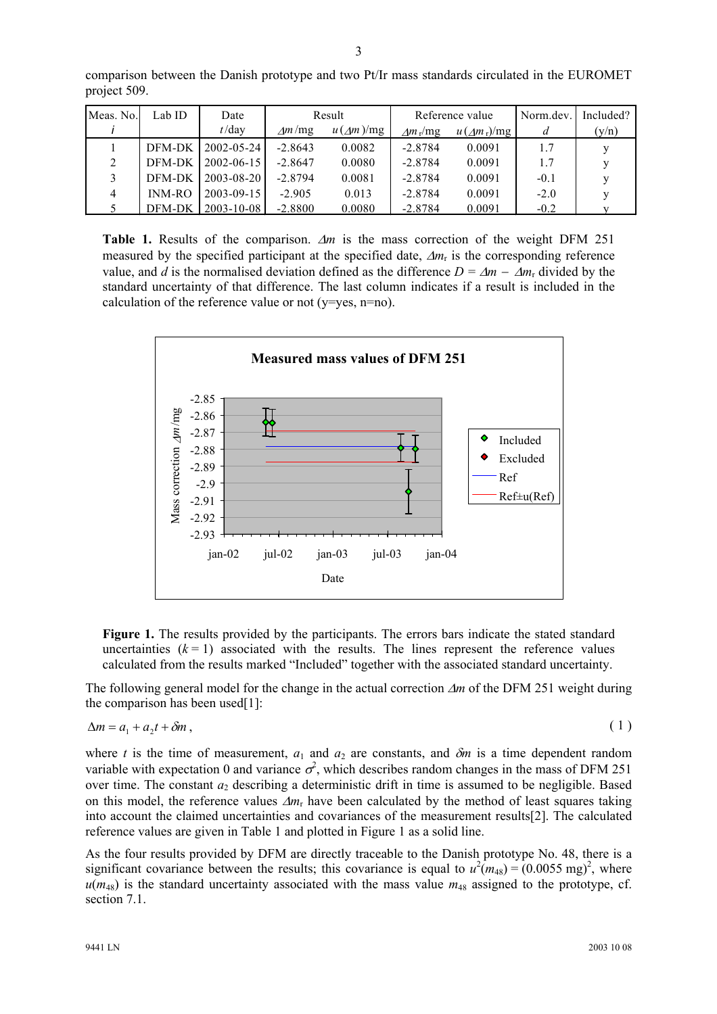| Meas. No. | Lab ID   | Date             | Result    |                  | Reference value |                     | Norm.dev. | Included? |
|-----------|----------|------------------|-----------|------------------|-----------------|---------------------|-----------|-----------|
|           |          | $t$ /day         | Am/mg     | $u(\sqrt{m})/mg$ | $Am_r/mg$       | $u(\sin \theta)$ mg | а         | (v/n)     |
|           | DFM-DK   | $2002 - 05 - 24$ | $-2.8643$ | 0.0082           | $-2.8784$       | 0.0091              | 1.7       | v         |
|           | DFM-DK   | $2002 - 06 - 15$ | $-2.8647$ | 0.0080           | $-2.8784$       | 0.0091              | 1.7       | v         |
|           | DFM-DK   | $2003 - 08 - 20$ | $-2.8794$ | 0.0081           | $-2.8784$       | 0.0091              | $-0.1$    | v         |
| 4         | $INM-RO$ | $2003 - 09 - 15$ | $-2.905$  | 0.013            | $-2.8784$       | 0.0091              | $-2.0$    | V         |
|           | DFM-DK   | $2003 - 10 - 08$ | $-2.8800$ | 0.0080           | $-2.8784$       | 0.0091              | $-0.2$    |           |

comparison between the Danish prototype and two Pt/Ir mass standards circulated in the EUROMET project 509.

**Table 1.** Results of the comparison. ∆*m* is the mass correction of the weight DFM 251 measured by the specified participant at the specified date, ∆*m*r is the corresponding reference value, and *d* is the normalised deviation defined as the difference  $D = \Delta m - \Delta m_r$  divided by the standard uncertainty of that difference. The last column indicates if a result is included in the calculation of the reference value or not ( $v=ves$ ,  $n=no$ ).



Figure 1. The results provided by the participants. The errors bars indicate the stated standard uncertainties  $(k = 1)$  associated with the results. The lines represent the reference values calculated from the results marked "Included" together with the associated standard uncertainty.

The following general model for the change in the actual correction ∆*m* of the DFM 251 weight during the comparison has been used[1]:

$$
\Delta m = a_1 + a_2 t + \delta m \,,\tag{1}
$$

where *t* is the time of measurement,  $a_1$  and  $a_2$  are constants, and  $\delta m$  is a time dependent random variable with expectation 0 and variance  $\sigma^2$ , which describes random changes in the mass of DFM 251 over time. The constant  $a_2$  describing a deterministic drift in time is assumed to be negligible. Based on this model, the reference values ∆*m*r have been calculated by the method of least squares taking into account the claimed uncertainties and covariances of the measurement results[2]. The calculated reference values are given in Table 1 and plotted in Figure 1 as a solid line.

As the four results provided by DFM are directly traceable to the Danish prototype No. 48, there is a significant covariance between the results; this covariance is equal to  $u^2(m_{48}) = (0.0055 \text{ mg})^2$ , where  $u(m_{48})$  is the standard uncertainty associated with the mass value  $m_{48}$  assigned to the prototype, cf. section 7.1.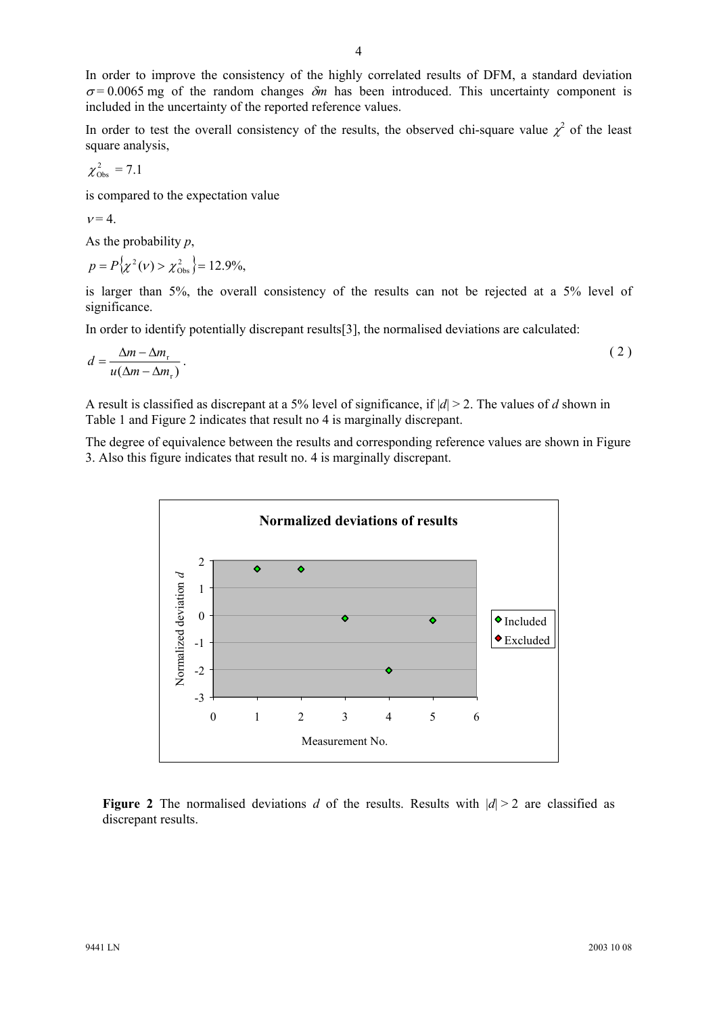In order to improve the consistency of the highly correlated results of DFM, a standard deviation  $\sigma$  = 0.0065 mg of the random changes  $\delta$ *m* has been introduced. This uncertainty component is included in the uncertainty of the reported reference values.

In order to test the overall consistency of the results, the observed chi-square value  $\chi^2$  of the least square analysis,

$$
\chi^2_{\rm Obs} = 7.1
$$

is compared to the expectation value

$$
v=4.
$$

As the probability *p*,

$$
p = P(\chi^2(\nu) > \chi^2_{\rm obs}) = 12.9\%,
$$

is larger than 5%, the overall consistency of the results can not be rejected at a 5% level of significance.

In order to identify potentially discrepant results[3], the normalised deviations are calculated:

$$
d = \frac{\Delta m - \Delta m_r}{u(\Delta m - \Delta m_r)}\,. \tag{2}
$$

A result is classified as discrepant at a 5% level of significance, if |*d*| > 2. The values of *d* shown in Table 1 and Figure 2 indicates that result no 4 is marginally discrepant.

The degree of equivalence between the results and corresponding reference values are shown in Figure 3. Also this figure indicates that result no. 4 is marginally discrepant.



**Figure 2** The normalised deviations *d* of the results. Results with  $|d| > 2$  are classified as discrepant results.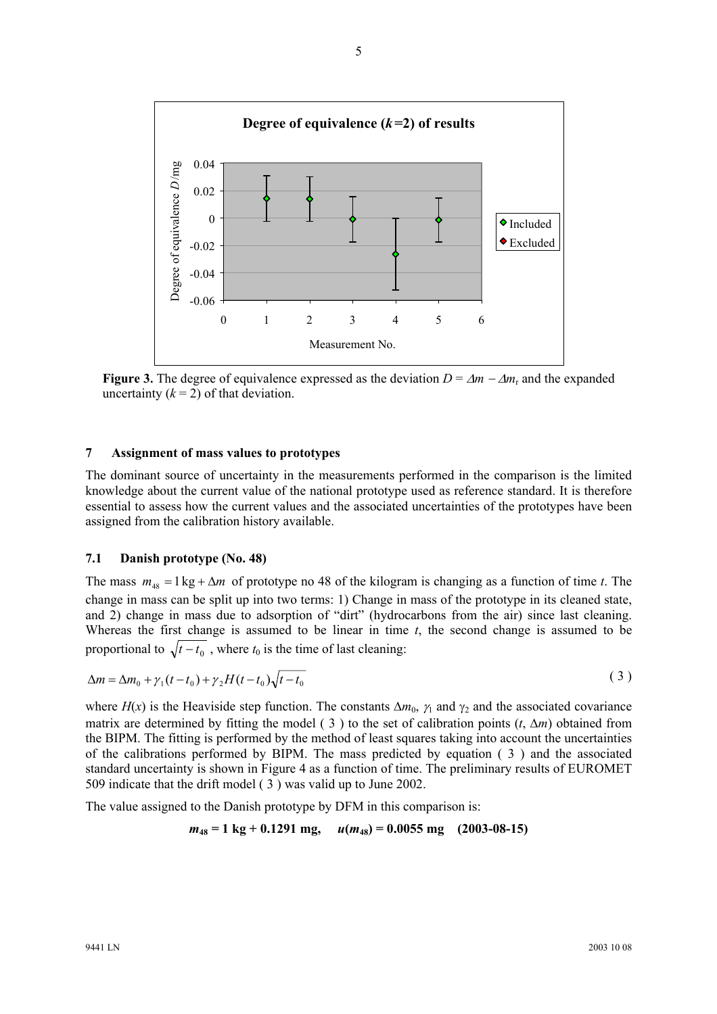

**Figure 3.** The degree of equivalence expressed as the deviation  $D = \Delta m - \Delta m_r$  and the expanded uncertainty  $(k = 2)$  of that deviation.

#### **7 Assignment of mass values to prototypes**

The dominant source of uncertainty in the measurements performed in the comparison is the limited knowledge about the current value of the national prototype used as reference standard. It is therefore essential to assess how the current values and the associated uncertainties of the prototypes have been assigned from the calibration history available.

#### **7.1 Danish prototype (No. 48)**

The mass  $m_{48} = 1 \text{ kg} + \Delta m$  of prototype no 48 of the kilogram is changing as a function of time *t*. The change in mass can be split up into two terms: 1) Change in mass of the prototype in its cleaned state, and 2) change in mass due to adsorption of "dirt" (hydrocarbons from the air) since last cleaning. Whereas the first change is assumed to be linear in time  $t$ , the second change is assumed to be proportional to  $\sqrt{t - t_0}$ , where  $t_0$  is the time of last cleaning:

$$
\Delta m = \Delta m_0 + \gamma_1 (t - t_0) + \gamma_2 H(t - t_0) \sqrt{t - t_0}
$$
\n
$$
\tag{3}
$$

where  $H(x)$  is the Heaviside step function. The constants  $\Delta m_0$ ,  $\gamma_1$  and  $\gamma_2$  and the associated covariance matrix are determined by fitting the model ( 3 ) to the set of calibration points (*t*, ∆*m*) obtained from the BIPM. The fitting is performed by the method of least squares taking into account the uncertainties of the calibrations performed by BIPM. The mass predicted by equation ( 3 ) and the associated standard uncertainty is shown in Figure 4 as a function of time. The preliminary results of EUROMET 509 indicate that the drift model ( 3 ) was valid up to June 2002.

The value assigned to the Danish prototype by DFM in this comparison is:

 $m_{48} = 1 \text{ kg} + 0.1291 \text{ mg}, \quad u(m_{48}) = 0.0055 \text{ mg}$  (2003-08-15)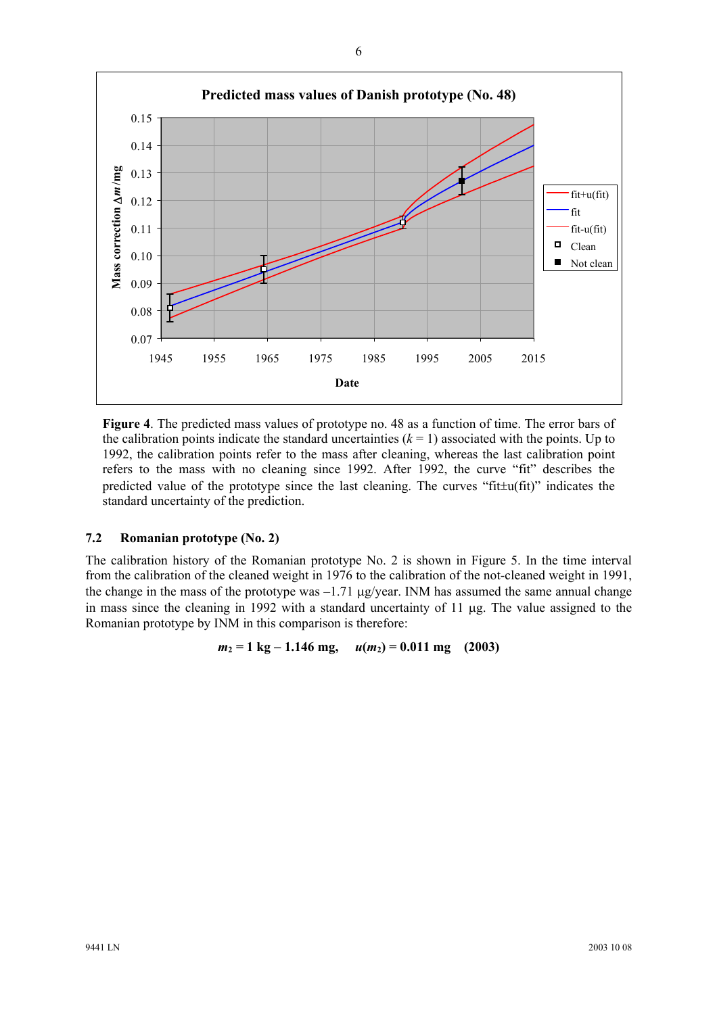

**Figure 4**. The predicted mass values of prototype no. 48 as a function of time. The error bars of the calibration points indicate the standard uncertainties  $(k = 1)$  associated with the points. Up to 1992, the calibration points refer to the mass after cleaning, whereas the last calibration point refers to the mass with no cleaning since 1992. After 1992, the curve "fit" describes the predicted value of the prototype since the last cleaning. The curves "fit±u(fit)" indicates the standard uncertainty of the prediction.

## **7.2 Romanian prototype (No. 2)**

The calibration history of the Romanian prototype No. 2 is shown in Figure 5. In the time interval from the calibration of the cleaned weight in 1976 to the calibration of the not-cleaned weight in 1991, the change in the mass of the prototype was  $-1.71 \mu$ g/year. INM has assumed the same annual change in mass since the cleaning in 1992 with a standard uncertainty of 11 µg. The value assigned to the Romanian prototype by INM in this comparison is therefore:

 $m_2 = 1 \text{ kg} - 1.146 \text{ mg}, \quad u(m_2) = 0.011 \text{ mg}$  (2003)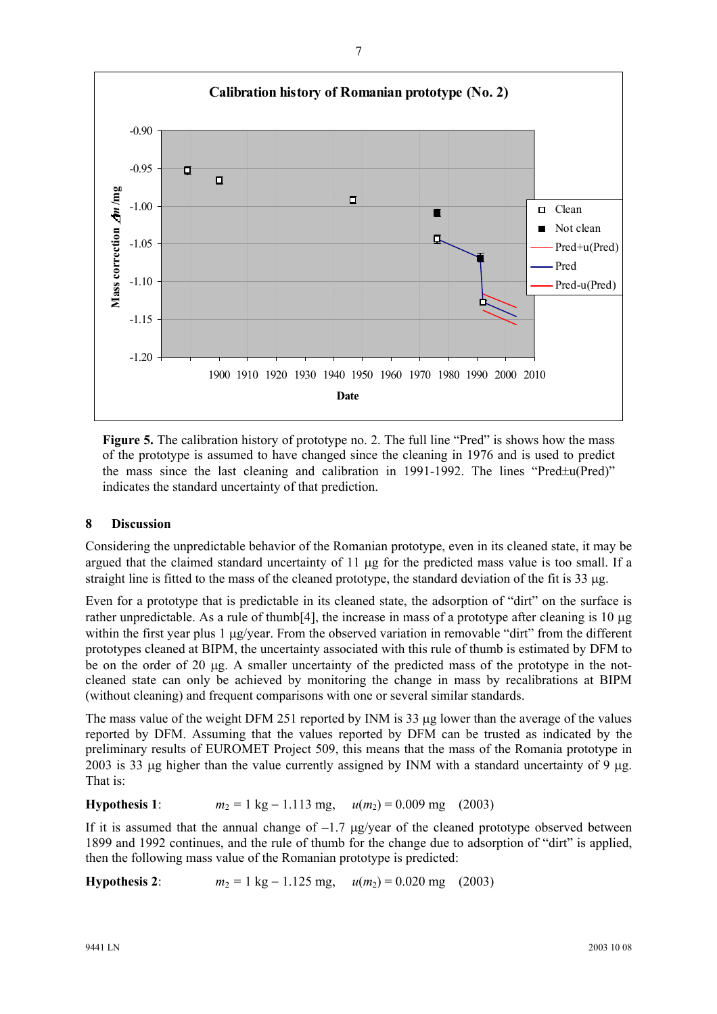

Figure 5. The calibration history of prototype no. 2. The full line "Pred" is shows how the mass of the prototype is assumed to have changed since the cleaning in 1976 and is used to predict the mass since the last cleaning and calibration in 1991-1992. The lines "Pred±u(Pred)" indicates the standard uncertainty of that prediction.

## **8 Discussion**

Considering the unpredictable behavior of the Romanian prototype, even in its cleaned state, it may be argued that the claimed standard uncertainty of 11 µg for the predicted mass value is too small. If a straight line is fitted to the mass of the cleaned prototype, the standard deviation of the fit is 33 µg.

Even for a prototype that is predictable in its cleaned state, the adsorption of "dirt" on the surface is rather unpredictable. As a rule of thumb[4], the increase in mass of a prototype after cleaning is 10 µg within the first year plus 1  $\mu$ g/year. From the observed variation in removable "dirt" from the different prototypes cleaned at BIPM, the uncertainty associated with this rule of thumb is estimated by DFM to be on the order of 20 µg. A smaller uncertainty of the predicted mass of the prototype in the notcleaned state can only be achieved by monitoring the change in mass by recalibrations at BIPM (without cleaning) and frequent comparisons with one or several similar standards.

The mass value of the weight DFM 251 reported by INM is 33 µg lower than the average of the values reported by DFM. Assuming that the values reported by DFM can be trusted as indicated by the preliminary results of EUROMET Project 509, this means that the mass of the Romania prototype in 2003 is 33 µg higher than the value currently assigned by INM with a standard uncertainty of 9 µg. That is:

## **Hypothesis 1**:  $m_2 = 1 \text{ kg} - 1.113 \text{ mg}, \quad u(m_2) = 0.009 \text{ mg}$  (2003)

If it is assumed that the annual change of  $-1.7 \mu$ g/year of the cleaned prototype observed between 1899 and 1992 continues, and the rule of thumb for the change due to adsorption of "dirt" is applied, then the following mass value of the Romanian prototype is predicted:

**Hypothesis 2**:  $m_2 = 1 \text{ kg} - 1.125 \text{ mg}, \quad u(m_2) = 0.020 \text{ mg}$  (2003)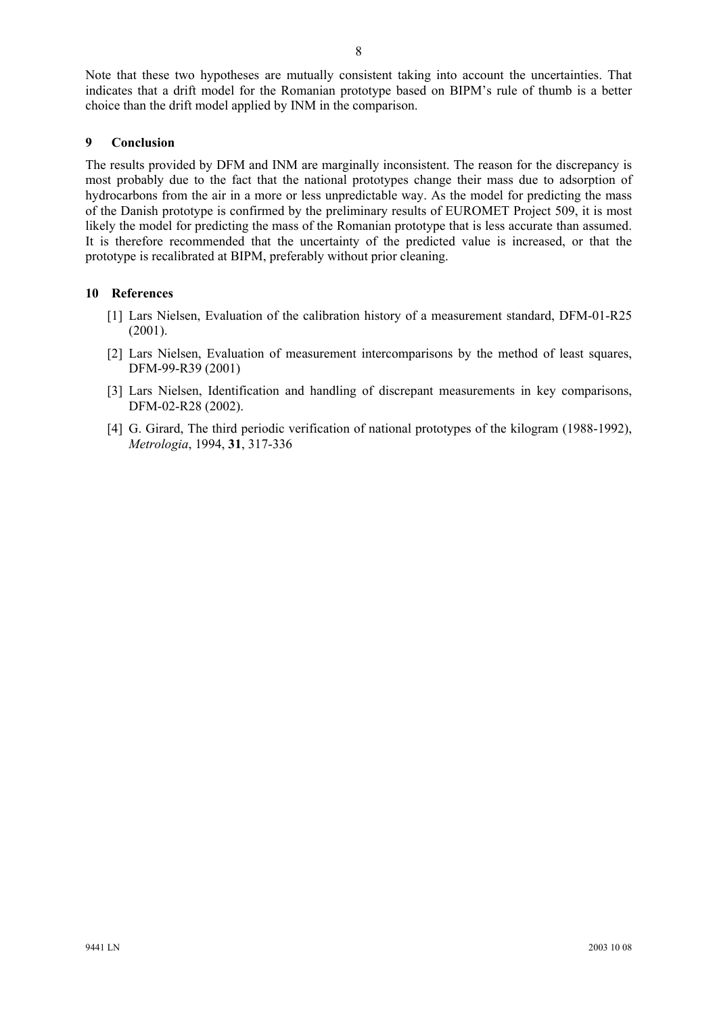Note that these two hypotheses are mutually consistent taking into account the uncertainties. That indicates that a drift model for the Romanian prototype based on BIPM's rule of thumb is a better choice than the drift model applied by INM in the comparison.

## **9 Conclusion**

The results provided by DFM and INM are marginally inconsistent. The reason for the discrepancy is most probably due to the fact that the national prototypes change their mass due to adsorption of hydrocarbons from the air in a more or less unpredictable way. As the model for predicting the mass of the Danish prototype is confirmed by the preliminary results of EUROMET Project 509, it is most likely the model for predicting the mass of the Romanian prototype that is less accurate than assumed. It is therefore recommended that the uncertainty of the predicted value is increased, or that the prototype is recalibrated at BIPM, preferably without prior cleaning.

#### **10 References**

- [1] Lars Nielsen, Evaluation of the calibration history of a measurement standard, DFM-01-R25 (2001).
- [2] Lars Nielsen, Evaluation of measurement intercomparisons by the method of least squares, DFM-99-R39 (2001)
- [3] Lars Nielsen, Identification and handling of discrepant measurements in key comparisons, DFM-02-R28 (2002).
- [4] G. Girard, The third periodic verification of national prototypes of the kilogram (1988-1992), *Metrologia*, 1994, **31**, 317-336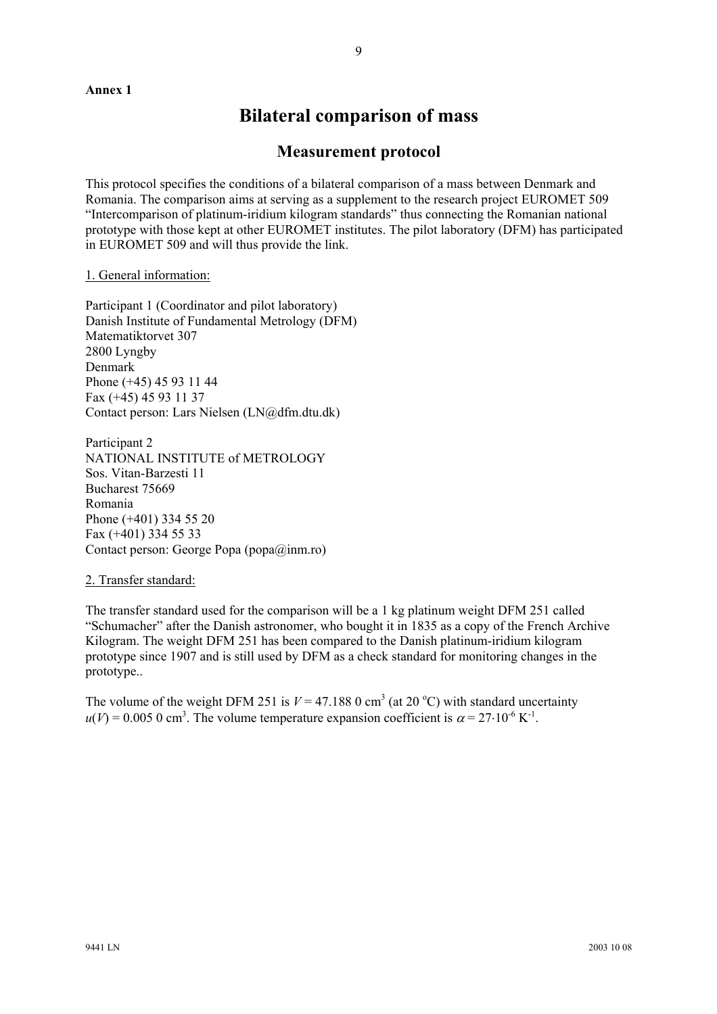#### **Annex 1**

# **Bilateral comparison of mass**

# **Measurement protocol**

This protocol specifies the conditions of a bilateral comparison of a mass between Denmark and Romania. The comparison aims at serving as a supplement to the research project EUROMET 509 "Intercomparison of platinum-iridium kilogram standards" thus connecting the Romanian national prototype with those kept at other EUROMET institutes. The pilot laboratory (DFM) has participated in EUROMET 509 and will thus provide the link.

#### 1. General information:

Participant 1 (Coordinator and pilot laboratory) Danish Institute of Fundamental Metrology (DFM) Matematiktorvet 307 2800 Lyngby Denmark Phone (+45) 45 93 11 44 Fax (+45) 45 93 11 37 Contact person: Lars Nielsen (LN@dfm.dtu.dk)

Participant 2 NATIONAL INSTITUTE of METROLOGY Sos. Vitan-Barzesti 11 Bucharest 75669 Romania Phone (+401) 334 55 20 Fax (+401) 334 55 33 Contact person: George Popa (popa@inm.ro)

#### 2. Transfer standard:

The transfer standard used for the comparison will be a 1 kg platinum weight DFM 251 called "Schumacher" after the Danish astronomer, who bought it in 1835 as a copy of the French Archive Kilogram. The weight DFM 251 has been compared to the Danish platinum-iridium kilogram prototype since 1907 and is still used by DFM as a check standard for monitoring changes in the prototype..

The volume of the weight DFM 251 is  $V = 47.188 \text{ O cm}^3$  (at 20 °C) with standard uncertainty  $u(V) = 0.005$  0 cm<sup>3</sup>. The volume temperature expansion coefficient is  $\alpha = 27 \cdot 10^{-6}$  K<sup>-1</sup>.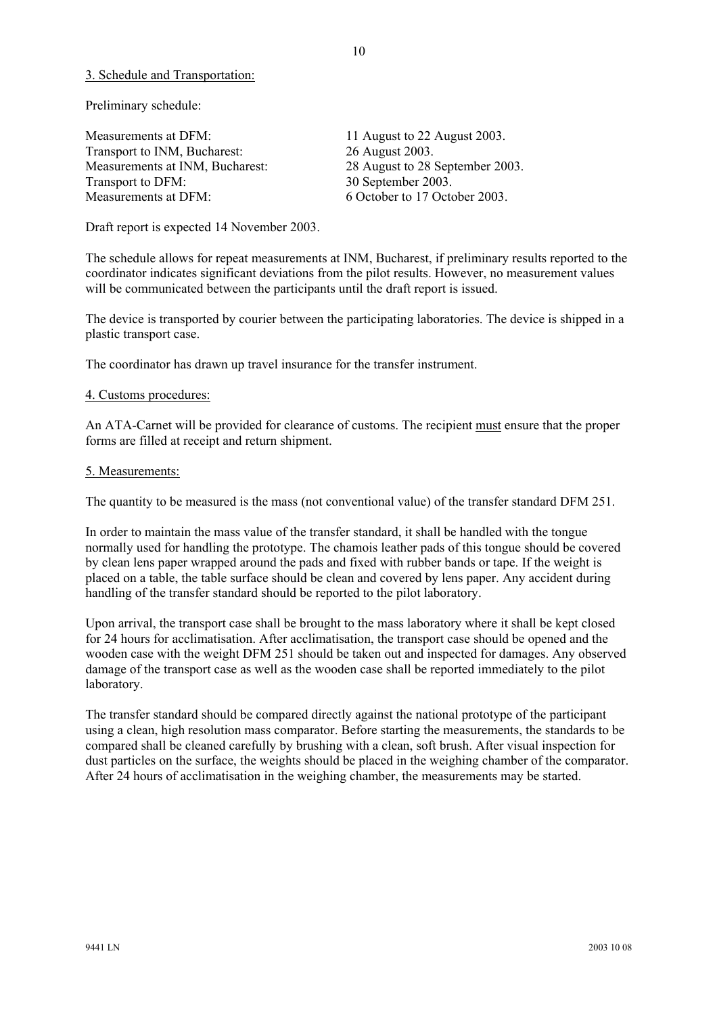#### 3. Schedule and Transportation:

Preliminary schedule:

Measurements at DFM: 11 August to 22 August 2003. Transport to INM, Bucharest: 26 August 2003. Measurements at INM, Bucharest: 28 August to 28 September 2003. Transport to DFM: 30 September 2003. Measurements at DFM: 6 October to 17 October 2003.

Draft report is expected 14 November 2003.

The schedule allows for repeat measurements at INM, Bucharest, if preliminary results reported to the coordinator indicates significant deviations from the pilot results. However, no measurement values will be communicated between the participants until the draft report is issued.

The device is transported by courier between the participating laboratories. The device is shipped in a plastic transport case.

The coordinator has drawn up travel insurance for the transfer instrument.

#### 4. Customs procedures:

An ATA-Carnet will be provided for clearance of customs. The recipient must ensure that the proper forms are filled at receipt and return shipment.

#### 5. Measurements:

The quantity to be measured is the mass (not conventional value) of the transfer standard DFM 251.

In order to maintain the mass value of the transfer standard, it shall be handled with the tongue normally used for handling the prototype. The chamois leather pads of this tongue should be covered by clean lens paper wrapped around the pads and fixed with rubber bands or tape. If the weight is placed on a table, the table surface should be clean and covered by lens paper. Any accident during handling of the transfer standard should be reported to the pilot laboratory.

Upon arrival, the transport case shall be brought to the mass laboratory where it shall be kept closed for 24 hours for acclimatisation. After acclimatisation, the transport case should be opened and the wooden case with the weight DFM 251 should be taken out and inspected for damages. Any observed damage of the transport case as well as the wooden case shall be reported immediately to the pilot laboratory.

The transfer standard should be compared directly against the national prototype of the participant using a clean, high resolution mass comparator. Before starting the measurements, the standards to be compared shall be cleaned carefully by brushing with a clean, soft brush. After visual inspection for dust particles on the surface, the weights should be placed in the weighing chamber of the comparator. After 24 hours of acclimatisation in the weighing chamber, the measurements may be started.